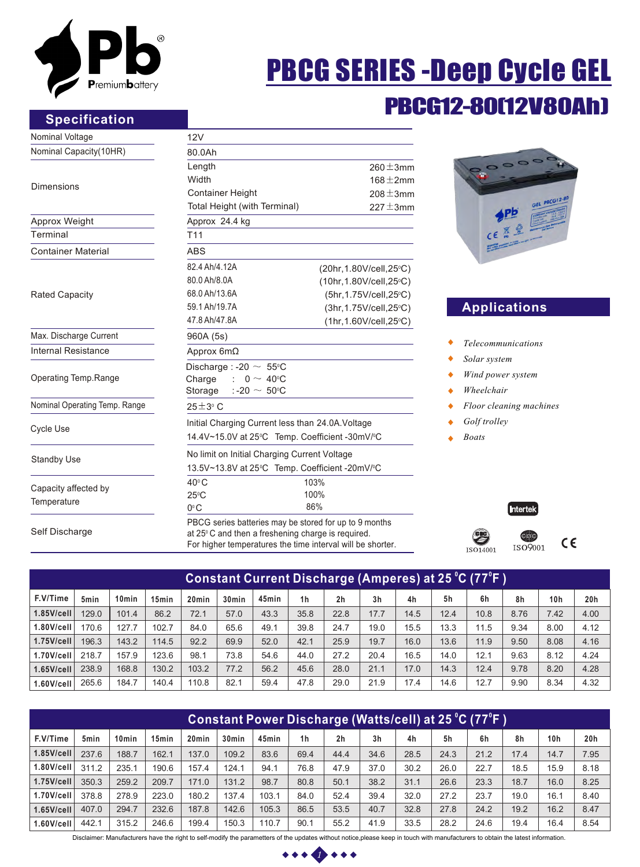

## **Specification**

# PBCG SERIES -Deep Cycle GEL

## PBCG12-80(12V80Ah)

| Nominal Voltage               | 12V                                                                                                                                                                                                                                                                                             |                          |  |  |  |  |  |  |
|-------------------------------|-------------------------------------------------------------------------------------------------------------------------------------------------------------------------------------------------------------------------------------------------------------------------------------------------|--------------------------|--|--|--|--|--|--|
| Nominal Capacity(10HR)        | 80.0Ah                                                                                                                                                                                                                                                                                          |                          |  |  |  |  |  |  |
|                               | Length                                                                                                                                                                                                                                                                                          | $260 \pm 3$ mm           |  |  |  |  |  |  |
| <b>Dimensions</b>             | Width                                                                                                                                                                                                                                                                                           | $168 \pm 2$ mm           |  |  |  |  |  |  |
|                               | <b>Container Height</b>                                                                                                                                                                                                                                                                         |                          |  |  |  |  |  |  |
|                               | Total Height (with Terminal)<br>$227 \pm 3$ mm                                                                                                                                                                                                                                                  |                          |  |  |  |  |  |  |
| Approx Weight                 | Approx 24.4 kg                                                                                                                                                                                                                                                                                  |                          |  |  |  |  |  |  |
| Terminal                      | T <sub>11</sub>                                                                                                                                                                                                                                                                                 |                          |  |  |  |  |  |  |
| <b>Container Material</b>     | <b>ABS</b>                                                                                                                                                                                                                                                                                      |                          |  |  |  |  |  |  |
|                               | 82.4 Ah/4.12A                                                                                                                                                                                                                                                                                   | (20hr, 1.80V/cell, 25°C) |  |  |  |  |  |  |
|                               | 80.0 Ah/8.0A                                                                                                                                                                                                                                                                                    | (10hr, 1.80V/cell, 25°C) |  |  |  |  |  |  |
| <b>Rated Capacity</b>         | 68.0 Ah/13.6A                                                                                                                                                                                                                                                                                   | (5hr, 1.75V/cell, 25°C)  |  |  |  |  |  |  |
|                               | 59.1 Ah/19.7A                                                                                                                                                                                                                                                                                   | (3hr, 1.75V/cell, 25°C)  |  |  |  |  |  |  |
|                               | 47.8 Ah/47.8A                                                                                                                                                                                                                                                                                   | (1hr, 1.60V/cell, 25°C)  |  |  |  |  |  |  |
| Max. Discharge Current        | 960A (5s)                                                                                                                                                                                                                                                                                       |                          |  |  |  |  |  |  |
| <b>Internal Resistance</b>    | Approx 6mΩ                                                                                                                                                                                                                                                                                      |                          |  |  |  |  |  |  |
|                               | Discharge : -20 $\sim 55^{\circ}$ C                                                                                                                                                                                                                                                             |                          |  |  |  |  |  |  |
| Operating Temp.Range          | Charge<br>$: 0 \sim 40$ °C                                                                                                                                                                                                                                                                      |                          |  |  |  |  |  |  |
|                               | Storage<br>:-20 $\sim$ 50°C                                                                                                                                                                                                                                                                     |                          |  |  |  |  |  |  |
| Nominal Operating Temp. Range | $25 \pm 3$ °C                                                                                                                                                                                                                                                                                   |                          |  |  |  |  |  |  |
|                               |                                                                                                                                                                                                                                                                                                 |                          |  |  |  |  |  |  |
| <b>Cycle Use</b>              | No limit on Initial Charging Current Voltage<br>$40^{\circ}$ C<br>103%<br>100%<br>$25^{\circ}$ C<br>86%<br>$0^{\circ}$ C<br>at 25°C and then a freshening charge is required.                                                                                                                   |                          |  |  |  |  |  |  |
| <b>Standby Use</b>            |                                                                                                                                                                                                                                                                                                 |                          |  |  |  |  |  |  |
|                               | $208 \pm 3$ mm<br>Initial Charging Current less than 24.0A. Voltage<br>14.4V~15.0V at 25°C Temp. Coefficient -30mV/°C<br>13.5V~13.8V at 25°C Temp. Coefficient -20mV/°C<br>PBCG series batteries may be stored for up to 9 months<br>For higher temperatures the time interval will be shorter. |                          |  |  |  |  |  |  |
|                               |                                                                                                                                                                                                                                                                                                 |                          |  |  |  |  |  |  |
| Capacity affected by          |                                                                                                                                                                                                                                                                                                 |                          |  |  |  |  |  |  |
| Temperature                   |                                                                                                                                                                                                                                                                                                 |                          |  |  |  |  |  |  |
| Self Discharge                |                                                                                                                                                                                                                                                                                                 |                          |  |  |  |  |  |  |



## **Applications**

- *Telecommunications*
- *Solar system*
- *Wind power system*
- *Wheelchair*
- *Floor cleaning machines*
- *Golf trolley*
- *Boats*



| Constant Current Discharge (Amperes) at 25 °C (77°F ) |       |                   |                   |                   |                   |       |                |                |                |      |      |      |      |                 |                 |
|-------------------------------------------------------|-------|-------------------|-------------------|-------------------|-------------------|-------|----------------|----------------|----------------|------|------|------|------|-----------------|-----------------|
| F.V/Time                                              | 5min  | 10 <sub>min</sub> | 15 <sub>min</sub> | 20 <sub>min</sub> | 30 <sub>min</sub> | 45min | 1 <sub>h</sub> | 2 <sub>h</sub> | 3 <sub>h</sub> | 4h   | 5h   | 6h   | 8h   | 10 <sub>h</sub> | 20 <sub>h</sub> |
| $1.85$ V/cell                                         | 129.0 | 101.4             | 86.2              | 72.1              | 57.0              | 43.3  | 35.8           | 22.8           | 17.7           | 14.5 | 12.4 | 10.8 | 8.76 | 7.42            | 4.00            |
| $1.80$ V/cell                                         | 170.6 | 127.7             | 102.7             | 84.0              | 65.6              | 49.1  | 39.8           | 24.7           | 19.0           | 15.5 | 13.3 | 11.5 | 9.34 | 8.00            | 4.12            |
| $1.75$ V/cell                                         | 196.3 | 143.2             | 114.5             | 92.2              | 69.9              | 52.0  | 42.1           | 25.9           | 19.7           | 16.0 | 13.6 | 11.9 | 9.50 | 8.08            | 4.16            |
| 1.70V/cell                                            | 218.7 | 157.9             | 123.6             | 98.1              | 73.8              | 54.6  | 44.0           | 27.2           | 20.4           | 16.5 | 14.0 | 12.1 | 9.63 | 8.12            | 4.24            |
| $1.65$ V/cell                                         | 238.9 | 168.8             | 130.2             | 103.2             | 77.2              | 56.2  | 45.6           | 28.0           | 21.1           | 17.0 | 14.3 | 12.4 | 9.78 | 8.20            | 4.28            |
| 1.60V/cell                                            | 265.6 | 184.7             | 140.4             | 110.8             | 82.1              | 59.4  | 47.8           | 29.0           | 21.9           | 17.4 | 14.6 | 12.7 | 9.90 | 8.34            | 4.32            |

| Constant Power Discharge (Watts/cell) at 25 °C (77°F ) |                  |                   |                   |                   |                   |       |                |      |                |      |      |      |      |      |                 |
|--------------------------------------------------------|------------------|-------------------|-------------------|-------------------|-------------------|-------|----------------|------|----------------|------|------|------|------|------|-----------------|
| F.V/Time                                               | 5 <sub>min</sub> | 10 <sub>min</sub> | 15 <sub>min</sub> | 20 <sub>min</sub> | 30 <sub>min</sub> | 45min | 1 <sub>h</sub> | 2h   | 3 <sub>h</sub> | 4h   | 5h   | 6h   | 8h   | 10h  | 20 <sub>h</sub> |
| $1.85$ V/cell                                          | 237.6            | 188.7             | 162.1             | 137.0             | 109.2             | 83.6  | 69.4           | 44.4 | 34.6           | 28.5 | 24.3 | 21.2 | 17.4 | 14.7 | 7.95            |
| $1.80$ V/cell                                          | 311.2            | 235.1             | 190.6             | 157.4             | 124.1             | 94.1  | 76.8           | 47.9 | 37.0           | 30.2 | 26.0 | 22.7 | 18.5 | 15.9 | 8.18            |
| $1.75$ V/cell                                          | 350.3            | 259.2             | 209.7             | 171.0             | 131.2             | 98.7  | 80.8           | 50.1 | 38.2           | 31.1 | 26.6 | 23.3 | 18.7 | 16.0 | 8.25            |
| 1.70V/cell                                             | 378.8            | 278.9             | 223.0             | 180.2             | 137.4             | 103.1 | 84.0           | 52.4 | 39.4           | 32.0 | 27.2 | 23.7 | 19.0 | 16.1 | 8.40            |
| $1.65$ V/cell                                          | 407.0            | 294.7             | 232.6             | 187.8             | 142.6             | 105.3 | 86.5           | 53.5 | 40.7           | 32.8 | 27.8 | 24.2 | 19.2 | 16.2 | 8.47            |
| $1.60$ V/cell                                          | 442.1            | 315.2             | 246.6             | 199.4             | 150.3             | 110.7 | 90.1           | 55.2 | 41.9           | 33.5 | 28.2 | 24.6 | 19.4 | 16.4 | 8.54            |

Disclaimer: Manufacturers have the right to self-modify the parametters of the updates without notice,please keep in touch with manufacturers to obtain the latest information.